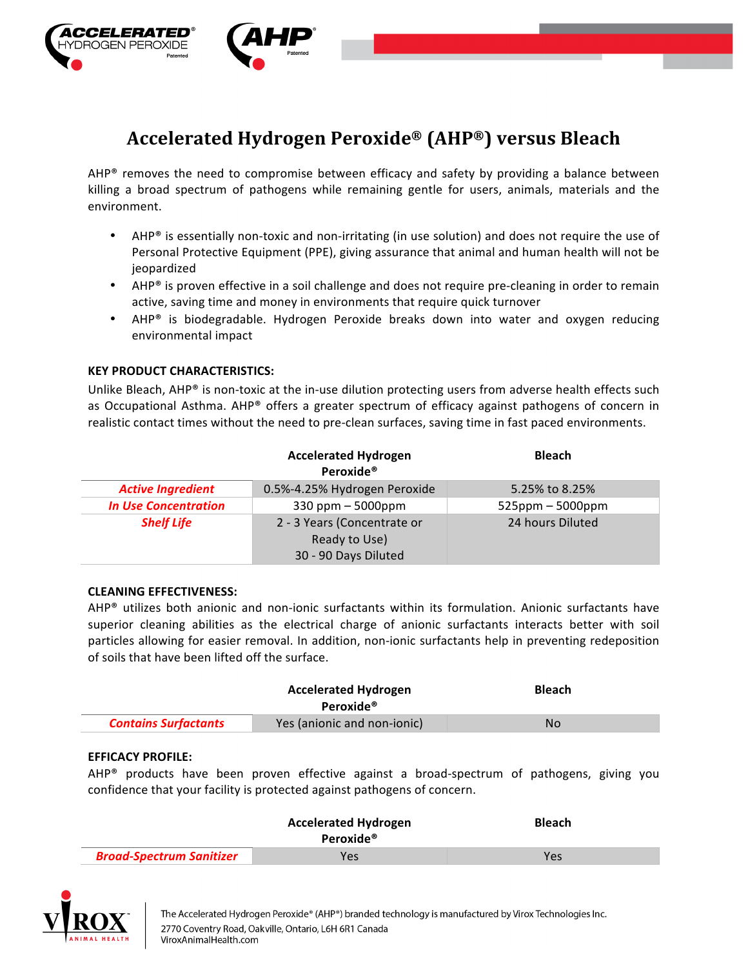

# **Accelerated Hydrogen Peroxide® (AHP®) versus Bleach**

AHP® removes the need to compromise between efficacy and safety by providing a balance between killing a broad spectrum of pathogens while remaining gentle for users, animals, materials and the environment.

- AHP® is essentially non-toxic and non-irritating (in use solution) and does not require the use of Personal Protective Equipment (PPE), giving assurance that animal and human health will not be jeopardized
- AHP<sup>®</sup> is proven effective in a soil challenge and does not require pre-cleaning in order to remain active, saving time and money in environments that require quick turnover
- AHP<sup>®</sup> is biodegradable. Hydrogen Peroxide breaks down into water and oxygen reducing environmental impact

# **KEY PRODUCT CHARACTERISTICS:**

Unlike Bleach, AHP® is non-toxic at the in-use dilution protecting users from adverse health effects such as Occupational Asthma. AHP® offers a greater spectrum of efficacy against pathogens of concern in realistic contact times without the need to pre-clean surfaces, saving time in fast paced environments.

|                             | <b>Accelerated Hydrogen</b><br>Peroxide <sup>®</sup>                 | <b>Bleach</b>       |
|-----------------------------|----------------------------------------------------------------------|---------------------|
| <b>Active Ingredient</b>    | 0.5%-4.25% Hydrogen Peroxide                                         | 5.25% to 8.25%      |
| <b>In Use Concentration</b> | $330$ ppm $-5000$ ppm                                                | $525$ ppm – 5000ppm |
| <b>Shelf Life</b>           | 2 - 3 Years (Concentrate or<br>Ready to Use)<br>30 - 90 Days Diluted | 24 hours Diluted    |

### **CLEANING EFFECTIVENESS:**

 $AHP<sup>®</sup>$  utilizes both anionic and non-ionic surfactants within its formulation. Anionic surfactants have superior cleaning abilities as the electrical charge of anionic surfactants interacts better with soil particles allowing for easier removal. In addition, non-ionic surfactants help in preventing redeposition of soils that have been lifted off the surface.

|                             | <b>Accelerated Hydrogen</b><br>Peroxide <sup>®</sup> | <b>Bleach</b> |
|-----------------------------|------------------------------------------------------|---------------|
| <b>Contains Surfactants</b> | Yes (anionic and non-ionic)                          | No.           |

### **EFFICACY PROFILE:**

AHP® products have been proven effective against a broad-spectrum of pathogens, giving you confidence that your facility is protected against pathogens of concern.

|                                 | <b>Accelerated Hydrogen</b><br>Peroxide <sup>®</sup> | <b>Bleach</b> |
|---------------------------------|------------------------------------------------------|---------------|
| <b>Broad-Spectrum Sanitizer</b> | Yes                                                  | Yes           |

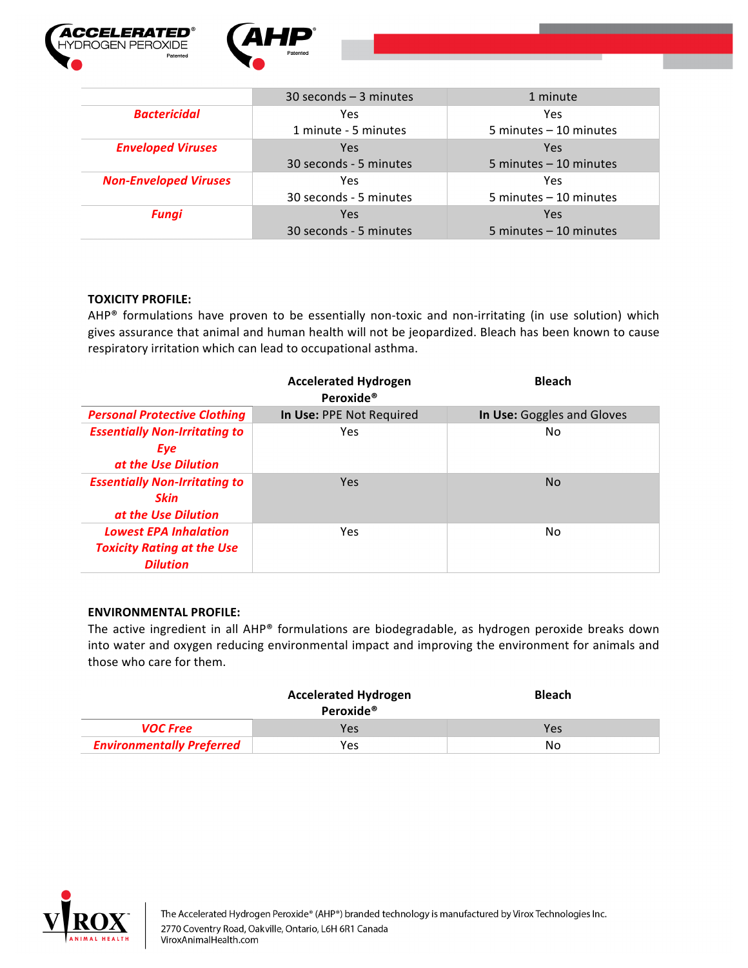



|                              | $30$ seconds $-3$ minutes | 1 minute                  |
|------------------------------|---------------------------|---------------------------|
| <b>Bactericidal</b>          | Yes                       | Yes                       |
|                              | 1 minute - 5 minutes      | 5 minutes - 10 minutes    |
| <b>Enveloped Viruses</b>     | Yes                       | Yes                       |
|                              | 30 seconds - 5 minutes    | 5 minutes $-10$ minutes   |
| <b>Non-Enveloped Viruses</b> | Yes                       | Yes                       |
|                              | 30 seconds - 5 minutes    | 5 minutes $-10$ minutes   |
| <b>Fungi</b>                 | Yes                       | Yes                       |
|                              | 30 seconds - 5 minutes    | $5$ minutes $-10$ minutes |

# **TOXICITY PROFILE:**

AHP® formulations have proven to be essentially non-toxic and non-irritating (in use solution) which gives assurance that animal and human health will not be jeopardized. Bleach has been known to cause respiratory irritation which can lead to occupational asthma.

|                                                                                      | <b>Accelerated Hydrogen</b><br>Peroxide <sup>®</sup> | <b>Bleach</b>              |
|--------------------------------------------------------------------------------------|------------------------------------------------------|----------------------------|
| <b>Personal Protective Clothing</b>                                                  | In Use: PPE Not Required                             | In Use: Goggles and Gloves |
| <b>Essentially Non-Irritating to</b><br>Eye<br>at the Use Dilution                   | Yes                                                  | No                         |
| <b>Essentially Non-Irritating to</b><br><b>Skin</b><br>at the Use Dilution           | Yes                                                  | N <sub>0</sub>             |
| <b>Lowest EPA Inhalation</b><br><b>Toxicity Rating at the Use</b><br><b>Dilution</b> | Yes                                                  | N <sub>0</sub>             |

### **ENVIRONMENTAL PROFILE:**

The active ingredient in all AHP® formulations are biodegradable, as hydrogen peroxide breaks down into water and oxygen reducing environmental impact and improving the environment for animals and those who care for them.

|                                  | <b>Accelerated Hydrogen</b><br>Peroxide <sup>®</sup> | <b>Bleach</b> |
|----------------------------------|------------------------------------------------------|---------------|
| <b>VOC Free</b>                  | Yes                                                  | Yes           |
| <b>Environmentally Preferred</b> | Yes                                                  | No            |